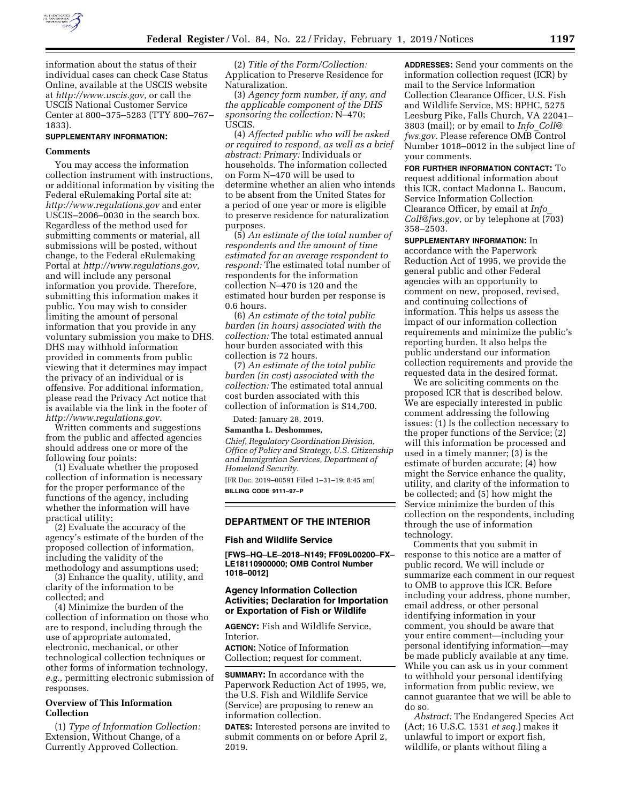

information about the status of their individual cases can check Case Status Online, available at the USCIS website at *[http://www.uscis.gov,](http://www.uscis.gov)* or call the USCIS National Customer Service Center at 800–375–5283 (TTY 800–767– 1833).

### **SUPPLEMENTARY INFORMATION:**

#### **Comments**

You may access the information collection instrument with instructions, or additional information by visiting the Federal eRulemaking Portal site at: *<http://www.regulations.gov>* and enter USCIS–2006–0030 in the search box. Regardless of the method used for submitting comments or material, all submissions will be posted, without change, to the Federal eRulemaking Portal at *[http://www.regulations.gov,](http://www.regulations.gov)*  and will include any personal information you provide. Therefore, submitting this information makes it public. You may wish to consider limiting the amount of personal information that you provide in any voluntary submission you make to DHS. DHS may withhold information provided in comments from public viewing that it determines may impact the privacy of an individual or is offensive. For additional information, please read the Privacy Act notice that is available via the link in the footer of *[http://www.regulations.gov.](http://www.regulations.gov)* 

Written comments and suggestions from the public and affected agencies should address one or more of the following four points:

(1) Evaluate whether the proposed collection of information is necessary for the proper performance of the functions of the agency, including whether the information will have practical utility;

(2) Evaluate the accuracy of the agency's estimate of the burden of the proposed collection of information, including the validity of the methodology and assumptions used;

(3) Enhance the quality, utility, and clarity of the information to be collected; and

(4) Minimize the burden of the collection of information on those who are to respond, including through the use of appropriate automated, electronic, mechanical, or other technological collection techniques or other forms of information technology, *e.g.,* permitting electronic submission of responses.

# **Overview of This Information Collection**

(1) *Type of Information Collection:*  Extension, Without Change, of a Currently Approved Collection.

(2) *Title of the Form/Collection:*  Application to Preserve Residence for Naturalization.

(3) *Agency form number, if any, and the applicable component of the DHS sponsoring the collection:* N–470; USCIS.

(4) *Affected public who will be asked or required to respond, as well as a brief abstract: Primary:* Individuals or households. The information collected on Form N–470 will be used to determine whether an alien who intends to be absent from the United States for a period of one year or more is eligible to preserve residence for naturalization purposes.

(5) *An estimate of the total number of respondents and the amount of time estimated for an average respondent to respond:* The estimated total number of respondents for the information collection N–470 is 120 and the estimated hour burden per response is 0.6 hours.

(6) *An estimate of the total public burden (in hours) associated with the collection:* The total estimated annual hour burden associated with this collection is 72 hours.

(7) *An estimate of the total public burden (in cost) associated with the collection:* The estimated total annual cost burden associated with this collection of information is \$14,700.

Dated: January 28, 2019.

#### **Samantha L. Deshommes,**

*Chief, Regulatory Coordination Division, Office of Policy and Strategy, U.S. Citizenship and Immigration Services, Department of Homeland Security.* 

[FR Doc. 2019–00591 Filed 1–31–19; 8:45 am] **BILLING CODE 9111–97–P** 

#### **DEPARTMENT OF THE INTERIOR**

#### **Fish and Wildlife Service**

**[FWS–HQ–LE–2018–N149; FF09L00200–FX– LE18110900000; OMB Control Number 1018–0012]** 

### **Agency Information Collection Activities; Declaration for Importation or Exportation of Fish or Wildlife**

**AGENCY:** Fish and Wildlife Service, **Interior** 

**ACTION:** Notice of Information Collection; request for comment.

**SUMMARY:** In accordance with the Paperwork Reduction Act of 1995, we, the U.S. Fish and Wildlife Service (Service) are proposing to renew an information collection.

**DATES:** Interested persons are invited to submit comments on or before April 2, 2019.

**ADDRESSES:** Send your comments on the information collection request (ICR) by mail to the Service Information Collection Clearance Officer, U.S. Fish and Wildlife Service, MS: BPHC, 5275 Leesburg Pike, Falls Church, VA 22041– 3803 (mail); or by email to *Info*\_*[Coll@](mailto:Info_Coll@fws.gov) [fws.gov.](mailto:Info_Coll@fws.gov)* Please reference OMB Control Number 1018–0012 in the subject line of your comments.

**FOR FURTHER INFORMATION CONTACT:** To request additional information about this ICR, contact Madonna L. Baucum, Service Information Collection Clearance Officer, by email at *[Info](mailto:Info_Coll@fws.gov)*\_ *[Coll@fws.gov,](mailto:Info_Coll@fws.gov)* or by telephone at (703) 358–2503.

**SUPPLEMENTARY INFORMATION:** In accordance with the Paperwork Reduction Act of 1995, we provide the general public and other Federal agencies with an opportunity to comment on new, proposed, revised, and continuing collections of information. This helps us assess the impact of our information collection requirements and minimize the public's reporting burden. It also helps the public understand our information collection requirements and provide the requested data in the desired format.

We are soliciting comments on the proposed ICR that is described below. We are especially interested in public comment addressing the following issues: (1) Is the collection necessary to the proper functions of the Service; (2) will this information be processed and used in a timely manner; (3) is the estimate of burden accurate; (4) how might the Service enhance the quality, utility, and clarity of the information to be collected; and (5) how might the Service minimize the burden of this collection on the respondents, including through the use of information technology.

Comments that you submit in response to this notice are a matter of public record. We will include or summarize each comment in our request to OMB to approve this ICR. Before including your address, phone number, email address, or other personal identifying information in your comment, you should be aware that your entire comment—including your personal identifying information—may be made publicly available at any time. While you can ask us in your comment to withhold your personal identifying information from public review, we cannot guarantee that we will be able to do so.

*Abstract:* The Endangered Species Act (Act; 16 U.S.C. 1531 *et seq.*) makes it unlawful to import or export fish, wildlife, or plants without filing a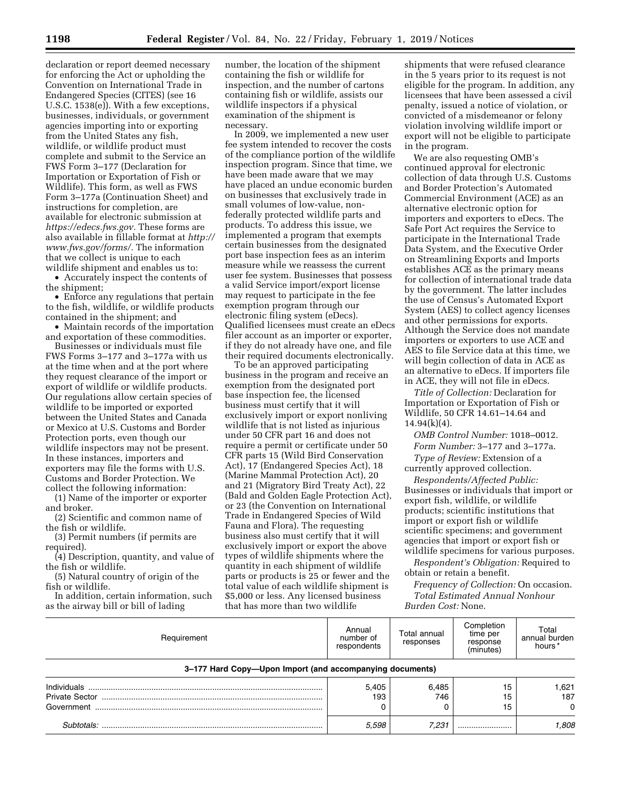declaration or report deemed necessary for enforcing the Act or upholding the Convention on International Trade in Endangered Species (CITES) (see 16 U.S.C. 1538(e)). With a few exceptions, businesses, individuals, or government agencies importing into or exporting from the United States any fish, wildlife, or wildlife product must complete and submit to the Service an FWS Form 3–177 (Declaration for Importation or Exportation of Fish or Wildlife). This form, as well as FWS Form 3–177a (Continuation Sheet) and instructions for completion, are available for electronic submission at *[https://edecs.fws.gov.](https://edecs.fws.gov)* These forms are also available in fillable format at *[http://](http://www.fws.gov/forms/)  [www.fws.gov/forms/.](http://www.fws.gov/forms/)* The information that we collect is unique to each wildlife shipment and enables us to:

• Accurately inspect the contents of the shipment;

• Enforce any regulations that pertain to the fish, wildlife, or wildlife products contained in the shipment; and

• Maintain records of the importation and exportation of these commodities.

Businesses or individuals must file FWS Forms 3–177 and 3–177a with us at the time when and at the port where they request clearance of the import or export of wildlife or wildlife products. Our regulations allow certain species of wildlife to be imported or exported between the United States and Canada or Mexico at U.S. Customs and Border Protection ports, even though our wildlife inspectors may not be present. In these instances, importers and exporters may file the forms with U.S. Customs and Border Protection. We collect the following information:

(1) Name of the importer or exporter and broker.

(2) Scientific and common name of the fish or wildlife.

(3) Permit numbers (if permits are required).

(4) Description, quantity, and value of the fish or wildlife.

(5) Natural country of origin of the fish or wildlife.

In addition, certain information, such as the airway bill or bill of lading

number, the location of the shipment containing the fish or wildlife for inspection, and the number of cartons containing fish or wildlife, assists our wildlife inspectors if a physical examination of the shipment is necessary.

In 2009, we implemented a new user fee system intended to recover the costs of the compliance portion of the wildlife inspection program. Since that time, we have been made aware that we may have placed an undue economic burden on businesses that exclusively trade in small volumes of low-value, nonfederally protected wildlife parts and products. To address this issue, we implemented a program that exempts certain businesses from the designated port base inspection fees as an interim measure while we reassess the current user fee system. Businesses that possess a valid Service import/export license may request to participate in the fee exemption program through our electronic filing system (eDecs). Qualified licensees must create an eDecs filer account as an importer or exporter, if they do not already have one, and file their required documents electronically.

To be an approved participating business in the program and receive an exemption from the designated port base inspection fee, the licensed business must certify that it will exclusively import or export nonliving wildlife that is not listed as injurious under 50 CFR part 16 and does not require a permit or certificate under 50 CFR parts 15 (Wild Bird Conservation Act), 17 (Endangered Species Act), 18 (Marine Mammal Protection Act), 20 and 21 (Migratory Bird Treaty Act), 22 (Bald and Golden Eagle Protection Act), or 23 (the Convention on International Trade in Endangered Species of Wild Fauna and Flora). The requesting business also must certify that it will exclusively import or export the above types of wildlife shipments where the quantity in each shipment of wildlife parts or products is 25 or fewer and the total value of each wildlife shipment is \$5,000 or less. Any licensed business that has more than two wildlife

shipments that were refused clearance in the 5 years prior to its request is not eligible for the program. In addition, any licensees that have been assessed a civil penalty, issued a notice of violation, or convicted of a misdemeanor or felony violation involving wildlife import or export will not be eligible to participate in the program.

We are also requesting OMB's continued approval for electronic collection of data through U.S. Customs and Border Protection's Automated Commercial Environment (ACE) as an alternative electronic option for importers and exporters to eDecs. The Safe Port Act requires the Service to participate in the International Trade Data System, and the Executive Order on Streamlining Exports and Imports establishes ACE as the primary means for collection of international trade data by the government. The latter includes the use of Census's Automated Export System (AES) to collect agency licenses and other permissions for exports. Although the Service does not mandate importers or exporters to use ACE and AES to file Service data at this time, we will begin collection of data in ACE as an alternative to eDecs. If importers file in ACE, they will not file in eDecs.

*Title of Collection:* Declaration for Importation or Exportation of Fish or Wildlife, 50 CFR 14.61–14.64 and  $14.94(k)(4)$ .

*OMB Control Number:* 1018–0012.

*Form Number:* 3–177 and 3–177a.

*Type of Review:* Extension of a currently approved collection.

*Respondents/Affected Public:*  Businesses or individuals that import or export fish, wildlife, or wildlife products; scientific institutions that import or export fish or wildlife scientific specimens; and government agencies that import or export fish or wildlife specimens for various purposes.

*Respondent's Obligation:* Required to obtain or retain a benefit.

*Frequency of Collection:* On occasion. *Total Estimated Annual Nonhour Burden Cost:* None.

| Requirement                                                                                                                                                                                                                                                                                                                                                                                                                  | Annual<br>number of<br>respondents | Total annual<br>responses | Completion<br>time per<br>response<br>(minutes) | Total<br>annual burden<br>hours <sup>*</sup> |
|------------------------------------------------------------------------------------------------------------------------------------------------------------------------------------------------------------------------------------------------------------------------------------------------------------------------------------------------------------------------------------------------------------------------------|------------------------------------|---------------------------|-------------------------------------------------|----------------------------------------------|
| 3–177 Hard Copy—Upon Import (and accompanying documents)                                                                                                                                                                                                                                                                                                                                                                     |                                    |                           |                                                 |                                              |
| $Individuals  \  \, \ldots \  \, \ldots \  \, \ldots \  \, \ldots \  \, \ldots \  \, \ldots \  \, \ldots \  \, \ldots \  \, \ldots \  \, \ldots \  \, \ldots \  \, \ldots \  \, \ldots \  \, \ldots \  \, \ldots \  \, \ldots \  \, \ldots \  \, \ldots \  \, \ldots \  \, \ldots \  \, \ldots \  \, \ldots \  \, \ldots \  \, \ldots \  \, \ldots \  \, \ldots \  \, \ldots \  \, \ldots \  \, \ldots \  \, \ldots \  \, \$ | 5.405                              | 6,485                     | 15                                              | 1,621                                        |
|                                                                                                                                                                                                                                                                                                                                                                                                                              | 193                                | 746                       | 15                                              | 187                                          |
|                                                                                                                                                                                                                                                                                                                                                                                                                              |                                    |                           | 15                                              | $\Omega$                                     |
| Subtotals: .                                                                                                                                                                                                                                                                                                                                                                                                                 | 5,598                              | 7.231                     |                                                 | 808.                                         |